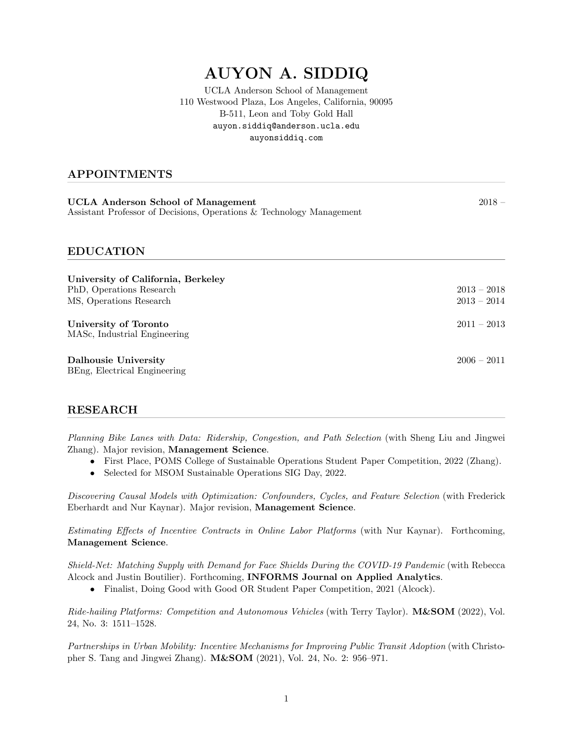# AUYON A. SIDDIQ

UCLA Anderson School of Management 110 Westwood Plaza, Los Angeles, California, 90095 B-511, Leon and Toby Gold Hall auyon.siddiq@anderson.ucla.edu <auyonsiddiq.com>

## APPOINTMENTS

| UCLA Anderson School of Management                                   | $2018 -$ |
|----------------------------------------------------------------------|----------|
| Assistant Professor of Decisions, Operations & Technology Management |          |

### EDUCATION

| University of California, Berkeley<br>PhD, Operations Research<br>MS, Operations Research | $2013 - 2018$<br>$2013 - 2014$ |
|-------------------------------------------------------------------------------------------|--------------------------------|
| University of Toronto<br>MASc, Industrial Engineering                                     | $2011 - 2013$                  |
| Dalhousie University<br>BEng, Electrical Engineering                                      | $2006 - 2011$                  |

# RESEARCH

*Planning Bike Lanes with Data: Ridership, Congestion, and Path Selection* (with Sheng Liu and Jingwei Zhang). Major revision, Management Science.

- First Place, POMS College of Sustainable Operations Student Paper Competition, 2022 (Zhang).
- *•* Selected for MSOM Sustainable Operations SIG Day, 2022.

*Discovering Causal Models with Optimization: Confounders, Cycles, and Feature Selection* (with Frederick Eberhardt and Nur Kaynar). Major revision, Management Science.

*Estimating E*ff*ects of Incentive Contracts in Online Labor Platforms* (with Nur Kaynar). Forthcoming, Management Science.

*Shield-Net: Matching Supply with Demand for Face Shields During the COVID-19 Pandemic* (with Rebecca Alcock and Justin Boutilier). Forthcoming, INFORMS Journal on Applied Analytics.

• Finalist, Doing Good with Good OR Student Paper Competition, 2021 (Alcock).

*Ride-hailing Platforms: Competition and Autonomous Vehicles* (with Terry Taylor). M&SOM (2022), Vol. 24, No. 3: 1511–1528.

*Partnerships in Urban Mobility: Incentive Mechanisms for Improving Public Transit Adoption* (with Christopher S. Tang and Jingwei Zhang). M&SOM (2021), Vol. 24, No. 2: 956–971.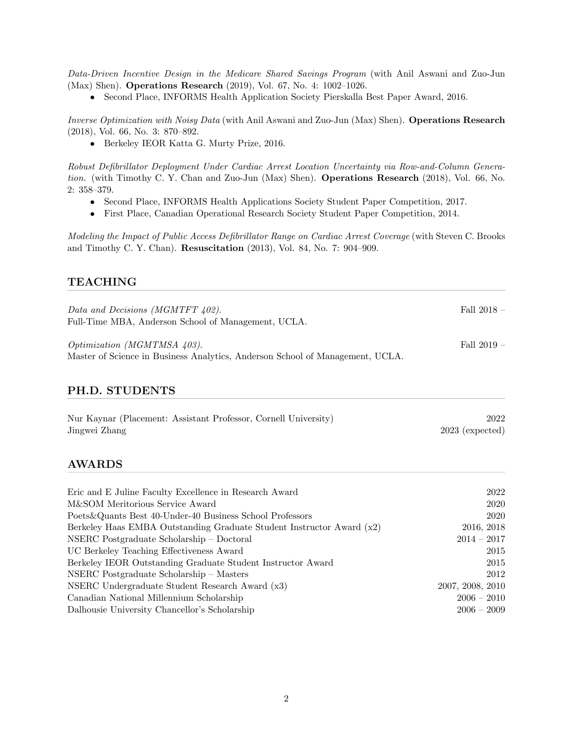*Data-Driven Incentive Design in the Medicare Shared Savings Program* (with Anil Aswani and Zuo-Jun (Max) Shen). Operations Research (2019), Vol. 67, No. 4: 1002–1026.

• Second Place, INFORMS Health Application Society Pierskalla Best Paper Award, 2016.

*Inverse Optimization with Noisy Data* (with Anil Aswani and Zuo-Jun (Max) Shen). Operations Research (2018), Vol. 66, No. 3: 870–892.

*•* Berkeley IEOR Katta G. Murty Prize, 2016.

*Robust Defibrillator Deployment Under Cardiac Arrest Location Uncertainty via Row-and-Column Generation.* (with Timothy C. Y. Chan and Zuo-Jun (Max) Shen). Operations Research (2018), Vol. 66, No. 2: 358–379.

- Second Place, INFORMS Health Applications Society Student Paper Competition, 2017.
- *•* First Place, Canadian Operational Research Society Student Paper Competition, 2014.

*Modeling the Impact of Public Access Defibrillator Range on Cardiac Arrest Coverage* (with Steven C. Brooks and Timothy C. Y. Chan). Resuscitation (2013), Vol. 84, No. 7: 904–909.

## TEACHING

| Data and Decisions (MGMTFT 402).<br>Full-Time MBA, Anderson School of Management, UCLA.                             | Fall $2018 -$ |
|---------------------------------------------------------------------------------------------------------------------|---------------|
| <i>Optimization (MGMTMSA 403).</i><br>Master of Science in Business Analytics, Anderson School of Management, UCLA. | Fall $2019 -$ |

# PH.D. STUDENTS

| Nur Kaynar (Placement: Assistant Professor, Cornell University) | 2022              |
|-----------------------------------------------------------------|-------------------|
| Jingwei Zhang                                                   | $2023$ (expected) |

## AWARDS

| Eric and E Juline Faculty Excellence in Research Award                | 2022             |
|-----------------------------------------------------------------------|------------------|
| M&SOM Meritorious Service Award                                       | 2020             |
| Poets & Quants Best 40-Under-40 Business School Professors            | 2020             |
| Berkeley Haas EMBA Outstanding Graduate Student Instructor Award (x2) | 2016, 2018       |
| NSERC Postgraduate Scholarship - Doctoral                             | $2014 - 2017$    |
| UC Berkeley Teaching Effectiveness Award                              | 2015             |
| Berkeley IEOR Outstanding Graduate Student Instructor Award           | 2015             |
| NSERC Postgraduate Scholarship - Masters                              | 2012             |
| NSERC Undergraduate Student Research Award (x3)                       | 2007, 2008, 2010 |
| Canadian National Millennium Scholarship                              | $2006 - 2010$    |
| Dalhousie University Chancellor's Scholarship                         | $2006 - 2009$    |
|                                                                       |                  |